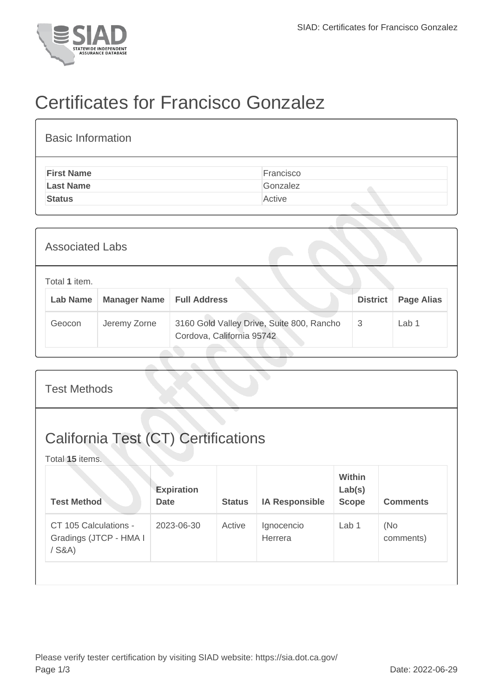

## Certificates for Francisco Gonzalez

| <b>Basic Information</b> |           |
|--------------------------|-----------|
| <b>First Name</b>        | Francisco |
| <b>Last Name</b>         | Gonzalez  |
| <b>Status</b>            | Active    |

| <b>Associated Labs</b> |                                  |                     |                                                                        |                 |            |  |  |
|------------------------|----------------------------------|---------------------|------------------------------------------------------------------------|-----------------|------------|--|--|
|                        | Total 1 item.<br><b>Lab Name</b> | <b>Manager Name</b> | <b>Full Address</b>                                                    | <b>District</b> | Page Alias |  |  |
|                        | Geocon                           | Jeremy Zorne        | 3160 Gold Valley Drive, Suite 800, Rancho<br>Cordova, California 95742 | 3               | Lab 1      |  |  |

| <b>Test Methods</b>                                           |                                  |               |                       |                                  |                  |  |  |  |
|---------------------------------------------------------------|----------------------------------|---------------|-----------------------|----------------------------------|------------------|--|--|--|
| <b>California Test (CT) Certifications</b><br>Total 15 items. |                                  |               |                       |                                  |                  |  |  |  |
| <b>Test Method</b>                                            | <b>Expiration</b><br><b>Date</b> | <b>Status</b> | <b>IA Responsible</b> | Within<br>Lab(s)<br><b>Scope</b> | <b>Comments</b>  |  |  |  |
| CT 105 Calculations -<br>Gradings (JTCP - HMA I<br>$/$ S&A)   | 2023-06-30                       | Active        | Ignocencio<br>Herrera | Lab 1                            | (No<br>comments) |  |  |  |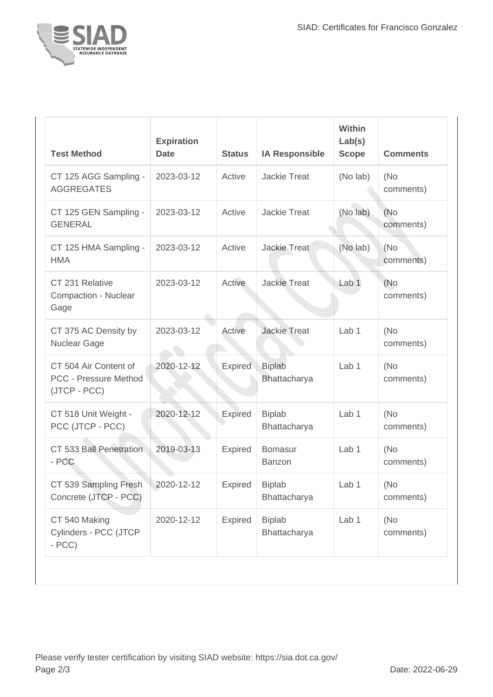

| <b>Test Method</b>                                             | <b>Expiration</b><br><b>Date</b> | <b>Status</b>  | <b>IA Responsible</b>         | <b>Within</b><br>Lab(s)<br><b>Scope</b> | <b>Comments</b>   |
|----------------------------------------------------------------|----------------------------------|----------------|-------------------------------|-----------------------------------------|-------------------|
| CT 125 AGG Sampling -<br><b>AGGREGATES</b>                     | 2023-03-12                       | Active         | <b>Jackie Treat</b>           | (No lab)                                | (No<br>comments)  |
| CT 125 GEN Sampling -<br><b>GENERAL</b>                        | 2023-03-12                       | Active         | <b>Jackie Treat</b>           | (No lab)                                | (No<br>comments)  |
| CT 125 HMA Sampling -<br><b>HMA</b>                            | 2023-03-12                       | Active         | <b>Jackie Treat</b>           | (No lab)                                | (No<br>comments)  |
| CT 231 Relative<br>Compaction - Nuclear<br>Gage                | 2023-03-12                       | Active         | <b>Jackie Treat</b>           | Lab <sub>1</sub>                        | (No)<br>comments) |
| CT 375 AC Density by<br>Nuclear Gage                           | 2023-03-12                       | Active         | <b>Jackie Treat</b>           | Lab 1                                   | (No<br>comments)  |
| CT 504 Air Content of<br>PCC - Pressure Method<br>(JTCP - PCC) | 2020-12-12                       | Expired        | <b>Biplab</b><br>Bhattacharya | Lab <sub>1</sub>                        | (No<br>comments)  |
| CT 518 Unit Weight -<br>PCC (JTCP - PCC)                       | 2020-12-12                       | Expired        | <b>Biplab</b><br>Bhattacharya | Lab 1                                   | (No<br>comments)  |
| CT 533 Ball Penetration<br>- PCC                               | 2019-03-13                       | Expired        | <b>Bomasur</b><br>Banzon      | Lab <sub>1</sub>                        | (No)<br>comments) |
| CT 539 Sampling Fresh<br>Concrete (JTCP - PCC)                 | 2020-12-12                       | <b>Expired</b> | <b>Biplab</b><br>Bhattacharya | Lab 1                                   | (No<br>comments)  |
| CT 540 Making<br>Cylinders - PCC (JTCP<br>$- PCC$              | 2020-12-12                       | Expired        | <b>Biplab</b><br>Bhattacharya | Lab 1                                   | (No)<br>comments) |